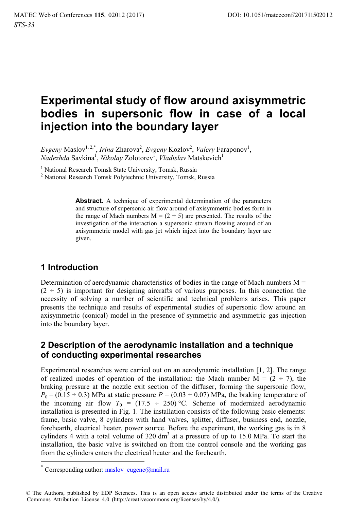# **Experimental study of flow around axisymmetric bodies in supersonic flow in case of a local injection into the boundary layer**

 $E$ vgeny Maslov<sup>1, 2,\*</sup>, *Irina Z*harova<sup>2</sup>, *Evgeny Kozlov<sup>2</sup>, Valery* Faraponov<sup>1</sup>,  $Nadezh da$  Savkina<sup>1</sup>, *Nikolay* Zolotorev<sup>1</sup>, *Vladislav* Matskevich<sup>1</sup>

<sup>1</sup> National Research Tomsk State University, Tomsk, Russia<br><sup>2</sup> National Research Tomsk Polytechnic University, Tomsk

<sup>2</sup> National Research Tomsk Polytechnic University, Tomsk, Russia

**Abstract.** A technique of experimental determination of the parameters and structure of supersonic air flow around of axisymmetric bodies form in the range of Mach numbers  $M = (2 \div 5)$  are presented. The results of the investigation of the interaction a supersonic stream flowing around of an axisymmetric model with gas jet which inject into the boundary layer are given.

# **1 Introduction**

Determination of aerodynamic characteristics of bodies in the range of Mach numbers  $M =$  $(2 \div 5)$  is important for designing aircrafts of various purposes. In this connection the necessity of solving a number of scientific and technical problems arises. This paper presents the technique and results of experimental studies of supersonic flow around an axisymmetric (conical) model in the presence of symmetric and asymmetric gas injection into the boundary layer.

# **2 Description of the aerodynamic installation and a technique of conducting experimental researches**

Experimental researches were carried out on an aerodynamic installation [1, 2]. The range of realized modes of operation of the installation: the Mach number  $M = (2 \div 7)$ , the braking pressure at the nozzle exit section of the diffuser, forming the supersonic flow,  $P_0 = (0.15 \div 0.3)$  MPa at static pressure  $P = (0.03 \div 0.07)$  MPa, the braking temperature of the incoming air flow  $T_0 = (17.5 \div 250)$  °C. Scheme of modernized aerodynamic installation is presented in Fig. 1. The installation consists of the following basic elements: frame, basic valve, 8 cylinders with hand valves, splitter, diffuser, business end, nozzle, forehearth, electrical heater, power source. Before the experiment, the working gas is in 8 cylinders 4 with a total volume of  $320 \text{ dm}^3$  at a pressure of up to 15.0 MPa. To start the installation, the basic valve is switched on from the control console and the working gas from the cylinders enters the electrical heater and the forehearth.

 $\overline{a}$ 

Corresponding author: maslov eugene@mail.ru

<sup>©</sup> The Authors, published by EDP Sciences. This is an open access article distributed under the terms of the Creative Commons Attribution License 4.0 (http://creativecommons.org/licenses/by/4.0/).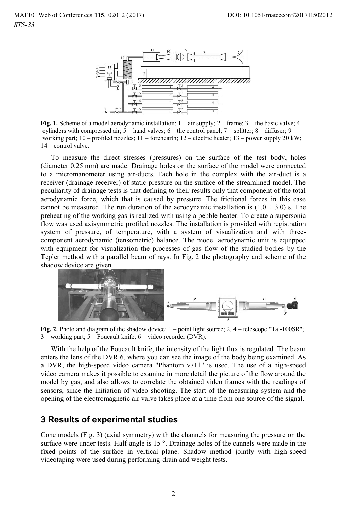

**Fig. 1.** Scheme of a model aerodynamic installation:  $1 - \text{air supply}$ ;  $2 - \text{frame}$ ;  $3 - \text{the basic valve}$ ;  $4 - \text{ime}$ cylinders with compressed air;  $5 -$  hand valves;  $6 -$  the control panel;  $7 -$  splitter;  $8 -$  diffuser;  $9$ working part; 10 – profiled nozzles; 11 – forehearth; 12 – electric heater; 13 – power supply 20 kW; 14 – control valve.

To measure the direct stresses (pressures) on the surface of the test body, holes (diameter 0.25 mm) are made. Drainage holes on the surface of the model were connected to a micromanometer using air-ducts. Each hole in the complex with the air-duct is a receiver (drainage receiver) of static pressure on the surface of the streamlined model. The peculiarity of drainage tests is that defining to their results only that component of the total aerodynamic force, which that is caused by pressure. The frictional forces in this case cannot be measured. The run duration of the aerodynamic installation is  $(1.0 \div 3.0)$  s. The preheating of the working gas is realized with using a pebble heater. To create a supersonic flow was used axisymmetric profiled nozzles. The installation is provided with registration system of pressure, of temperature, with a system of visualization and with threecomponent aerodynamic (tensometric) balance. The model aerodynamic unit is equipped with equipment for visualization the processes of gas flow of the studied bodies by the Tepler method with a parallel beam of rays. In Fig. 2 the photography and scheme of the shadow device are given.



**Fig. 2.** Photo and diagram of the shadow device: 1 – point light source; 2, 4 – telescope "Tal-100SR"; 3 – working part; 5 – Foucault knife; 6 – video recorder (DVR).

With the help of the Foucault knife, the intensity of the light flux is regulated. The beam enters the lens of the DVR 6, where you can see the image of the body being examined. As a DVR, the high-speed video camera "Phantom v711" is used. The use of a high-speed video camera makes it possible to examine in more detail the picture of the flow around the model by gas, and also allows to correlate the obtained video frames with the readings of sensors, since the initiation of video shooting. The start of the measuring system and the opening of the electromagnetic air valve takes place at a time from one source of the signal.

### **3 Results of experimental studies**

Cone models (Fig. 3) (axial symmetry) with the channels for measuring the pressure on the surface were under tests. Half-angle is 15<sup>°</sup>. Drainage holes of the cannels were made in the fixed points of the surface in vertical plane. Shadow method jointly with high-speed videotaping were used during performing-drain and weight tests.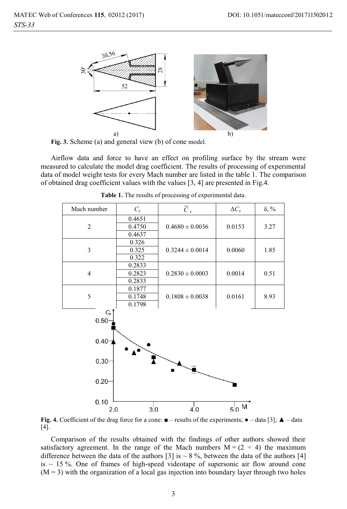

**Fig. 3.** Scheme (a) and general view (b) of cone model.

Airflow data and force to have an effect on profiling surface by the stream were measured to calculate the model drag coefficient. The results of processing of experimental data of model weight tests for every Mach number are listed in the table 1. The comparison of obtained drag coefficient values with the values [3, 4] are presented in Fig.4.

| Mach number     | $C_x$                      | $\overline{C}_x$              | $\Delta C_x$  | $\delta$ , % |
|-----------------|----------------------------|-------------------------------|---------------|--------------|
| $\overline{2}$  | 0.4651<br>0.4750<br>0.4637 | $0.4680 \pm 0.0036$           | 0.0153        | 3.27         |
| 3               | 0.326<br>0.325<br>0.322    | $0.3244 \pm 0.0014$           | 0.0060        | 1.85         |
| $\overline{4}$  | 0.2833<br>0.2823<br>0.2833 | $0.2830 \pm 0.0003$           | 0.0014        | 0.51         |
| 5               | 0.1877<br>0.1748<br>0.1798 | $0.1808 \pm 0.0038$           | 0.0161        | 8.93         |
| $C_{x}$<br>0.50 |                            |                               |               |              |
| $0.40 -$        |                            |                               |               |              |
| 0.30            |                            |                               |               |              |
| 0.20            |                            |                               |               |              |
| 0.10<br>2 0     | 3'0                        | $\overline{4}$ $\overline{0}$ | $5^{\circ}$ M |              |

**Table 1.** The results of processing of experimental data.

**Fig. 4.** Coefficient of the drag force for a cone:  $\blacksquare$  – results of the experiments;  $\blacklozenge$  – data [3];  $\blacktriangle$  – data [4].

Comparison of the results obtained with the findings of other authors showed their satisfactory agreement. In the range of the Mach numbers  $M = (2 \div 4)$  the maximum difference between the data of the authors [3] is  $\sim$  8 %, between the data of the authors [4] is  $\sim$  15 %. One of frames of high-speed videotape of supersonic air flow around cone  $(M = 3)$  with the organization of a local gas injection into boundary layer through two holes